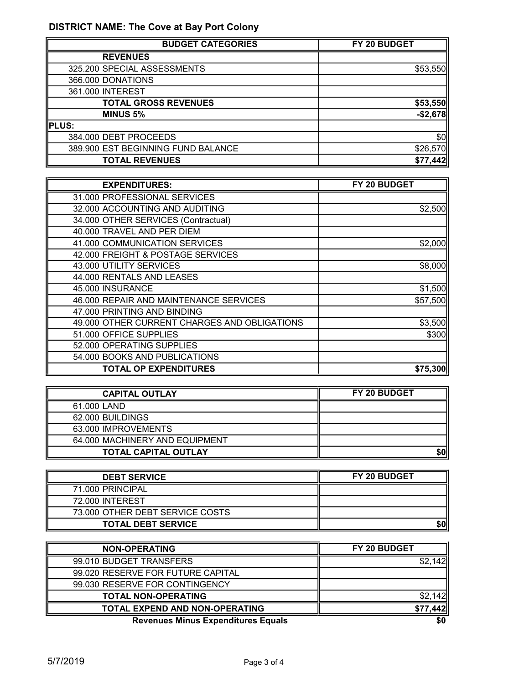## DISTRICT NAME: The Cove at Bay Port Colony

| <b>BUDGET CATEGORIES</b>           | FY 20 BUDGET |
|------------------------------------|--------------|
| <b>REVENUES</b>                    |              |
| 325.200 SPECIAL ASSESSMENTS        | \$53,550     |
| 366.000 DONATIONS                  |              |
| 361.000 INTEREST                   |              |
| <b>TOTAL GROSS REVENUES</b>        | \$53,550     |
| <b>MINUS 5%</b>                    | $-$2,678$    |
| PLUS:                              |              |
| 384.000 DEBT PROCEEDS              | \$0          |
| 389.900 EST BEGINNING FUND BALANCE | \$26,570     |
| <b>TOTAL REVENUES</b>              | \$77,442     |

| <b>EXPENDITURES:</b>                         | FY 20 BUDGET |
|----------------------------------------------|--------------|
| 31.000 PROFESSIONAL SERVICES                 |              |
| 32.000 ACCOUNTING AND AUDITING               | \$2,500      |
| 34.000 OTHER SERVICES (Contractual)          |              |
| 40.000 TRAVEL AND PER DIEM                   |              |
| 41.000 COMMUNICATION SERVICES                | \$2,000      |
| 42.000 FREIGHT & POSTAGE SERVICES            |              |
| 43.000 UTILITY SERVICES                      | \$8,000      |
| 44.000 RENTALS AND LEASES                    |              |
| 45.000 INSURANCE                             | \$1,500      |
| 46.000 REPAIR AND MAINTENANCE SERVICES       | \$57,500     |
| 47.000 PRINTING AND BINDING                  |              |
| 49.000 OTHER CURRENT CHARGES AND OBLIGATIONS | \$3,500      |
| 51.000 OFFICE SUPPLIES                       | \$300        |
| 52.000 OPERATING SUPPLIES                    |              |
| 54.000 BOOKS AND PUBLICATIONS                |              |
| <b>TOTAL OP EXPENDITURES</b>                 | \$75,300     |

| <b>CAPITAL OUTLAY</b>          | FY 20 BUDGET |
|--------------------------------|--------------|
| 61.000 LAND                    |              |
| 62.000 BUILDINGS               |              |
| 63.000 IMPROVEMENTS            |              |
| 64,000 MACHINERY AND EQUIPMENT |              |
| <b>TOTAL CAPITAL OUTLAY</b>    | \$0          |

| <b>DEBT SERVICE</b>             | <b>FY 20 BUDGET</b> |
|---------------------------------|---------------------|
| 71.000 PRINCIPAL                |                     |
| 72.000 INTEREST                 |                     |
| 73.000 OTHER DEBT SERVICE COSTS |                     |
| <b>TOTAL DEBT SERVICE</b>       | \$0                 |

| <b>NON-OPERATING</b>                      | FY 20 BUDGET |
|-------------------------------------------|--------------|
| 99.010 BUDGET TRANSFERS                   |              |
| 99.020 RESERVE FOR FUTURE CAPITAL         |              |
| 99.030 RESERVE FOR CONTINGENCY            |              |
| <b>TOTAL NON-OPERATING</b>                |              |
| <b>TOTAL EXPEND AND NON-OPERATING</b>     | \$77,442     |
| <b>Revenues Minus Expenditures Equals</b> | \$0          |